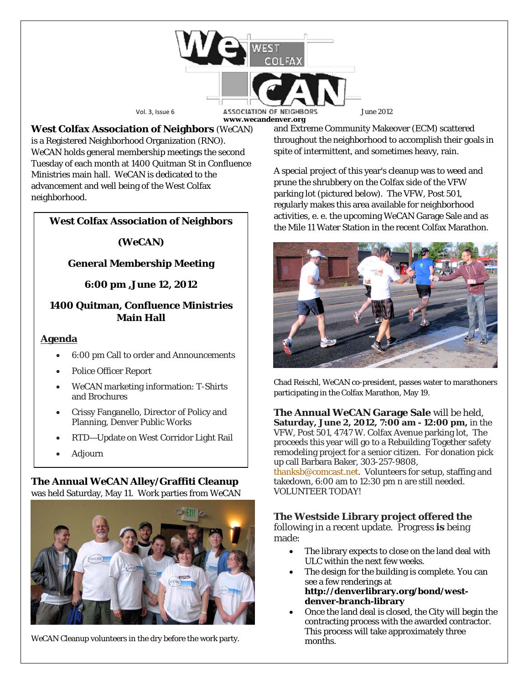

**West Colfax Association of Neighbors** (*WeCAN*) is a Registered Neighborhood Organization (RNO). *WeCAN* holds general membership meetings the second Tuesday of each month at 1400 Quitman St in Confluence Ministries main hall. WeCAN is dedicated to the advancement and well being of the West Colfax neighborhood.

# **West Colfax Association of Neighbors**

#### *(WeCAN***)**

### **General Membership Meeting**

#### **6:00 pm ,June 12, 2012**

### **1400 Quitman, Confluence Ministries Main Hall**

#### **Agenda**

- 6:00 pm Call to order and Announcements
- Police Officer Report
- *WeCAN* marketing information: T-Shirts and Brochures
- Crissy Fanganello, Director of Policy and Planning, Denver Public Works
- RTD—Update on West Corridor Light Rail
- Adjourn

# **The Annual** *WeCAN* **Alley/Graffiti Cleanup**

was held Saturday, May 11. Work parties from WeCAN



*WeCAN* Cleanup volunteers in the dry before the work party.

and Extreme Community Makeover (ECM) scattered throughout the neighborhood to accomplish their goals in spite of intermittent, and sometimes heavy, rain.

A special project of this year's cleanup was to weed and prune the shrubbery on the Colfax side of the VFW parking lot (pictured below). The VFW, Post 501, regularly makes this area available for neighborhood activities, e. e. the upcoming *WeCAN* Garage Sale and as the Mile 11 Water Station in the recent Colfax Marathon.



Chad Reischl, *WeCAN* co-president, passes water to marathoners participating in the Colfax Marathon, May 19.

**The Annual** *WeCAN* **Garage Sale** will be held, **Saturday, June 2, 2012, 7:00 am - 12:00 pm,** in the VFW, Post 501, 4747 W. Colfax Avenue parking lot, The proceeds this year will go to a Rebuilding Together safety remodeling project for a senior citizen. For donation pick up call Barbara Baker, 303-257-9808,

[thanksb@comcast.net.](mailto:thanksb@comcast.net) Volunteers for setup, staffing and takedown, 6:00 am to 12:30 pm n are still needed. VOLUNTEER TODAY!

# **The Westside Library project offered the**

following in a recent update. Progress **is** being made:

- The library expects to close on the land deal with ULC within the next few weeks.
- The design for the building is complete. You can see a few renderings at **[http://denverlibrary.org/bond/west](http://denverlibrary.org/bond/west-denver-branch-library)[denver-branch-library](http://denverlibrary.org/bond/west-denver-branch-library)**
- Once the land deal is closed, the City will begin the contracting process with the awarded contractor. This process will take approximately three months.